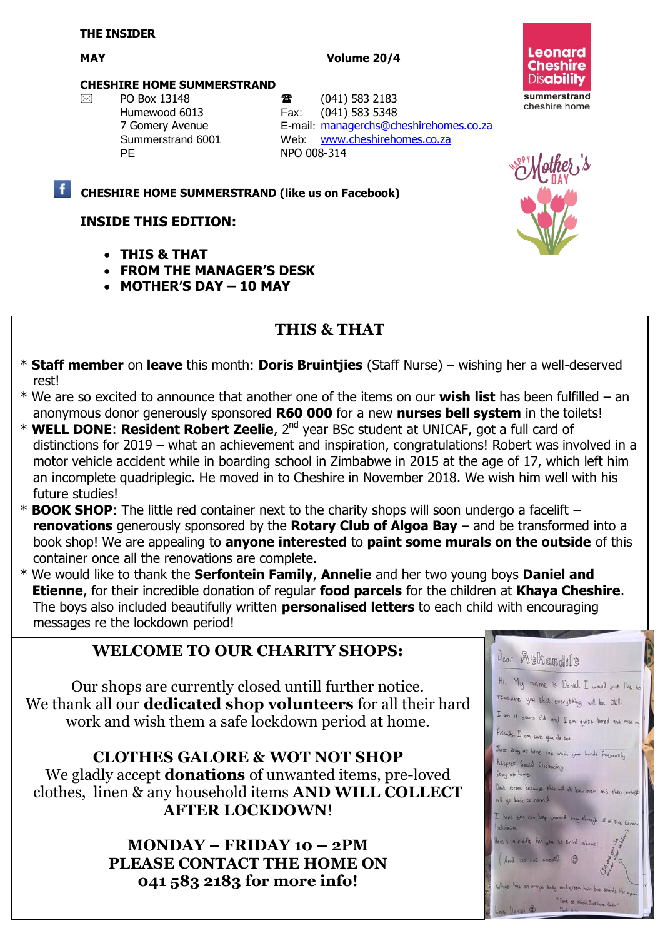#### MAY **MAY** Volume 20/4



#### **CHESHIRE HOME SUMMERSTRAND**

 PO Box 13148 (041) 583 2183 PE NPO 008-314

Humewood 6013 Fax: (041) 583 5348 7 Gomery Avenue E-mail: [managerchs@cheshirehomes.co.za](mailto:managerchs@cheshirehomes.co.za) Summerstrand 6001 Web: [www.cheshirehomes.co.za](http://www.cheshirehomes.co.za/)

### **CHESHIRE HOME SUMMERSTRAND (like us on Facebook)**

## **INSIDE THIS EDITION:**

- **THIS & THAT**
- **FROM THE MANAGER'S DESK**
- **MOTHER'S DAY – 10 MAY**

# **THIS & THAT**

- \* **Staff member** on **leave** this month: **Doris Bruintjies** (Staff Nurse) wishing her a well-deserved rest!
- \* We are so excited to announce that another one of the items on our **wish list** has been fulfilled an anonymous donor generously sponsored **R60 000** for a new **nurses bell system** in the toilets!
- \* **WELL DONE**: **Resident Robert Zeelie**, 2nd year BSc student at UNICAF, got a full card of distinctions for 2019 – what an achievement and inspiration, congratulations! Robert was involved in a motor vehicle accident while in boarding school in Zimbabwe in 2015 at the age of 17, which left him an incomplete quadriplegic. He moved in to Cheshire in November 2018. We wish him well with his future studies!
- \* **BOOK SHOP**: The little red container next to the charity shops will soon undergo a facelift **renovations** generously sponsored by the **Rotary Club of Algoa Bay** – and be transformed into a book shop! We are appealing to **anyone interested** to **paint some murals on the outside** of this container once all the renovations are complete.
- \* We would like to thank the **Serfontein Family**, **Annelie** and her two young boys **Daniel and Etienne**, for their incredible donation of regular **food parcels** for the children at **Khaya Cheshire**. The boys also included beautifully written **personalised letters** to each child with encouraging messages re the lockdown period!

## **WELCOME TO OUR CHARITY SHOPS:**

Our shops are currently closed untill further notice. We thank all our **dedicated shop volunteers** for all their hard work and wish them a safe lockdown period at home.

**CLOTHES GALORE & WOT NOT SHOP** We gladly accept **donations** of unwanted items, pre-loved clothes, linen & any household items **AND WILL COLLECT AFTER LOCKDOWN**!

> **MONDAY – FRIDAY 10 – 2PM PLEASE CONTACT THE HOME ON 041 583 2183 for more info!**

| Deor Athandile                                                                                                                                |
|-----------------------------------------------------------------------------------------------------------------------------------------------|
| HI. My name is Doniel. I would just like to<br>reassure you that everything will be Ok!<br>I am 13 years old and I am quite bored and miss my |
| friends. I am sure you do boo.                                                                                                                |
| Just stay at home and wash your hands frequently.<br>Respect Social Dispancing<br>Stay at home.                                               |
| Don't stress becomes this will all blow over and then everyth<br>will go back to normal.                                                      |
| I hope you can keep yourself busy through all of this Carena<br>lockdown.                                                                     |
| Here's a riddle for you so think about:                                                                                                       |
| And do not cheat!<br>G                                                                                                                        |
| What has an orange body and green hair but sounds like a parr                                                                                 |
| "Don't be afraid Just have fairly"                                                                                                            |

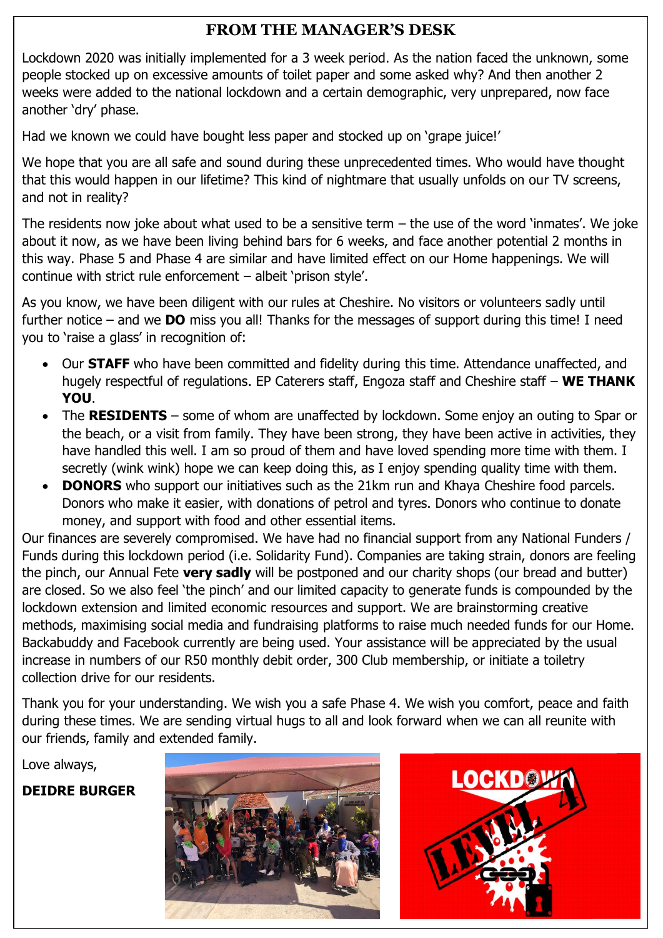## **FROM THE MANAGER'S DESK**

Lockdown 2020 was initially implemented for a 3 week period. As the nation faced the unknown, some people stocked up on excessive amounts of toilet paper and some asked why? And then another 2 weeks were added to the national lockdown and a certain demographic, very unprepared, now face another 'dry' phase.

Had we known we could have bought less paper and stocked up on 'grape juice!'

We hope that you are all safe and sound during these unprecedented times. Who would have thought that this would happen in our lifetime? This kind of nightmare that usually unfolds on our TV screens, and not in reality?

The residents now joke about what used to be a sensitive term – the use of the word 'inmates'. We joke about it now, as we have been living behind bars for 6 weeks, and face another potential 2 months in this way. Phase 5 and Phase 4 are similar and have limited effect on our Home happenings. We will continue with strict rule enforcement – albeit 'prison style'.

As you know, we have been diligent with our rules at Cheshire. No visitors or volunteers sadly until further notice – and we **DO** miss you all! Thanks for the messages of support during this time! I need you to 'raise a glass' in recognition of:

- Our **STAFF** who have been committed and fidelity during this time. Attendance unaffected, and hugely respectful of regulations. EP Caterers staff, Engoza staff and Cheshire staff – **WE THANK YOU**.
- The **RESIDENTS** some of whom are unaffected by lockdown. Some enjoy an outing to Spar or the beach, or a visit from family. They have been strong, they have been active in activities, they have handled this well. I am so proud of them and have loved spending more time with them. I secretly (wink wink) hope we can keep doing this, as I enjoy spending quality time with them.
- **DONORS** who support our initiatives such as the 21km run and Khaya Cheshire food parcels. Donors who make it easier, with donations of petrol and tyres. Donors who continue to donate money, and support with food and other essential items.

Our finances are severely compromised. We have had no financial support from any National Funders / Funds during this lockdown period (i.e. Solidarity Fund). Companies are taking strain, donors are feeling the pinch, our Annual Fete **very sadly** will be postponed and our charity shops (our bread and butter) are closed. So we also feel 'the pinch' and our limited capacity to generate funds is compounded by the lockdown extension and limited economic resources and support. We are brainstorming creative methods, maximising social media and fundraising platforms to raise much needed funds for our Home. Backabuddy and Facebook currently are being used. Your assistance will be appreciated by the usual increase in numbers of our R50 monthly debit order, 300 Club membership, or initiate a toiletry collection drive for our residents.

Thank you for your understanding. We wish you a safe Phase 4. We wish you comfort, peace and faith during these times. We are sending virtual hugs to all and look forward when we can all reunite with our friends, family and extended family.

Love always,

**DEIDRE BURGER**



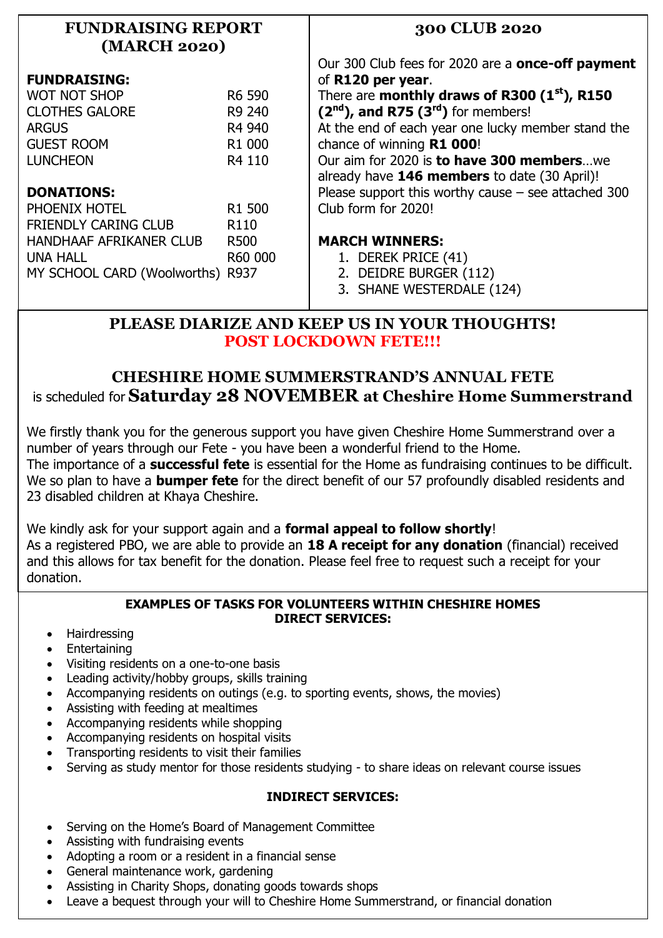| <b>FUNDRAISING REPORT</b><br>(MARCH 2020) |                    | 300 CLUB 2020                                            |
|-------------------------------------------|--------------------|----------------------------------------------------------|
|                                           |                    | Our 300 Club fees for 2020 are a <b>once-off payment</b> |
| <b>FUNDRAISING:</b>                       |                    | of R120 per year.                                        |
| <b>WOT NOT SHOP</b>                       | R6 590             | There are monthly draws of R300 (1st), R150              |
| <b>CLOTHES GALORE</b>                     | R9 240             | $(2nd)$ , and R75 $(3rd)$ for members!                   |
| <b>ARGUS</b>                              | R4 940             | At the end of each year one lucky member stand the       |
| <b>GUEST ROOM</b>                         | R <sub>1</sub> 000 | chance of winning R1 000!                                |
| <b>LUNCHEON</b>                           | R4 110             | Our aim for 2020 is to have 300 memberswe                |
|                                           |                    | already have 146 members to date (30 April)!             |
| <b>DONATIONS:</b>                         |                    | Please support this worthy cause $-$ see attached 300    |
| PHOENIX HOTEL                             | R <sub>1</sub> 500 | Club form for 2020!                                      |
| <b>FRIENDLY CARING CLUB</b>               | R <sub>110</sub>   |                                                          |
| HANDHAAF AFRIKANER CLUB                   | <b>R500</b>        | <b>MARCH WINNERS:</b>                                    |
| <b>UNA HALL</b>                           | R60 000            | 1. DEREK PRICE (41)                                      |
| MY SCHOOL CARD (Woolworths) R937          |                    | 2. DEIDRE BURGER (112)                                   |
|                                           |                    | 3. SHANE WESTERDALE (124)                                |

## **PLEASE DIARIZE AND KEEP US IN YOUR THOUGHTS! POST LOCKDOWN FETE!!!**

## **CHESHIRE HOME SUMMERSTRAND'S ANNUAL FETE** is scheduled for **Saturday 28 NOVEMBER at Cheshire Home Summerstrand**

We firstly thank you for the generous support you have given Cheshire Home Summerstrand over a number of years through our Fete - you have been a wonderful friend to the Home. The importance of a **successful fete** is essential for the Home as fundraising continues to be difficult. We so plan to have a **bumper fete** for the direct benefit of our 57 profoundly disabled residents and 23 disabled children at Khaya Cheshire.

We kindly ask for your support again and a **formal appeal to follow shortly**! As a registered PBO, we are able to provide an **18 A receipt for any donation** (financial) received and this allows for tax benefit for the donation. Please feel free to request such a receipt for your donation.

#### **EXAMPLES OF TASKS FOR VOLUNTEERS WITHIN CHESHIRE HOMES DIRECT SERVICES:**

- Hairdressing
- Entertaining
- Visiting residents on a one-to-one basis
- Leading activity/hobby groups, skills training
- Accompanying residents on outings (e.g. to sporting events, shows, the movies)
- Assisting with feeding at mealtimes
- Accompanying residents while shopping
- Accompanying residents on hospital visits
- Transporting residents to visit their families
- Serving as study mentor for those residents studying to share ideas on relevant course issues

## **INDIRECT SERVICES:**

- Serving on the Home's Board of Management Committee
- Assisting with fundraising events
- Adopting a room or a resident in a financial sense
- General maintenance work, gardening
- Assisting in Charity Shops, donating goods towards shops
- Leave a bequest through your will to Cheshire Home Summerstrand, or financial donation